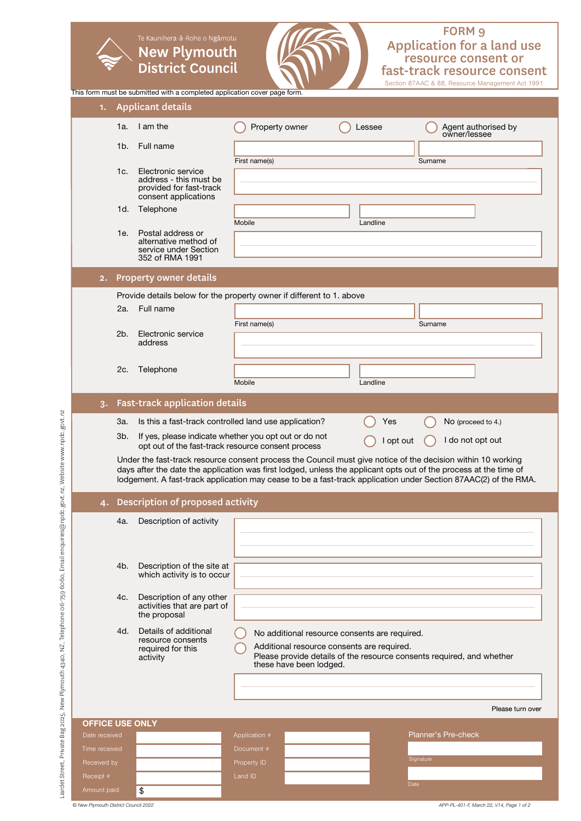# Application for a land use resource consent or fast-track resource consent FORM 9

Section 87AAC & 88, Resource Management Act 1991 This form must be submitted with a completed application cover page form. 1. Applicant details 1a. I am the **C** Property owner C Lessee C Agent authorised by owner/lessee 1b. Full name First name(s) Surname Electronic service  $1c.$ address - this must be provided for fast-track consent applications 1d. Telephone Mobile Landline 1e. Postal address or alternative method of service under Section 352 of RMA 1991 2. Property owner details Provide details below for the property owner if different to 1. above 2a. Full name First name(s) Surname 2b. Electronic service address 2c. Telephone Mobile Landline 3. Fast-track application details 3a. Is this a fast-track controlled land use application? Yes  $\bigcap$  No (proceed to 4.) 3b. If yes, please indicate whether you opt out or do not If yes, please indicate whether you opt out of do not<br>opt out  $\bigcirc$  I do not opt out of the fast-track resource consent process Under the fast-track resource consent process the Council must give notice of the decision within 10 working days after the date the application was first lodged, unless the applicant opts out of the process at the time of lodgement. A fast-track application may cease to be a fast-track application under Section 87AAC(2) of the RMA. 4. Description of proposed activity 4a. Description of activity 4b. Description of the site at which activity is to occur 4c. Description of any other activities that are part of the proposal Details of additional 4d. Details of additional  $\bigcirc$  No additional resource consents are required. resource consents Additional resource consents are required. required for this Please provide details of the resource consents required, and whether activity these have been lodged. Please turn over OFFICE USE ONLY Planner's Pre-checkTime receivec Document # Signature Receipt # Land ID Date Amount paid \$

**New Plymouth District Council**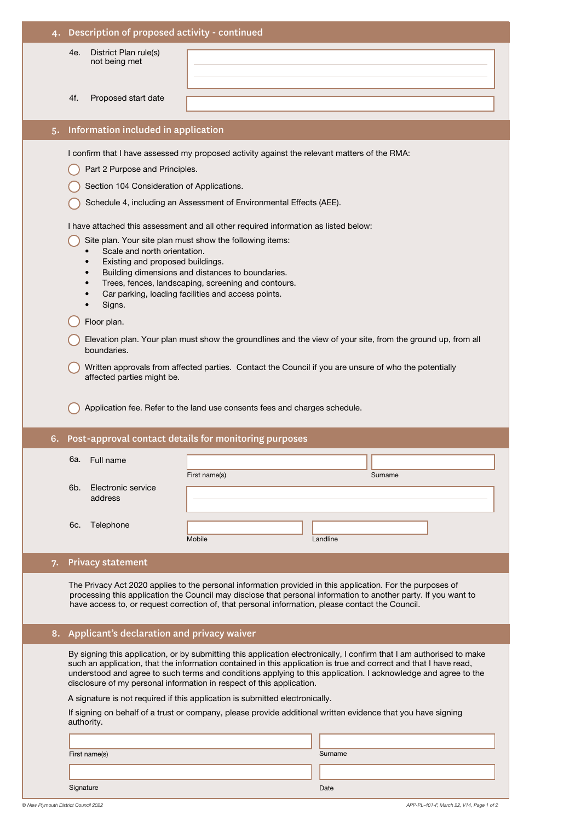|                                                                                                                                                                                                                                                                                                                                                             |                                           | Description of proposed activity - continued  |                                                                                                                                                                                                                                                                                                                                                                                                                                       |  |  |  |
|-------------------------------------------------------------------------------------------------------------------------------------------------------------------------------------------------------------------------------------------------------------------------------------------------------------------------------------------------------------|-------------------------------------------|-----------------------------------------------|---------------------------------------------------------------------------------------------------------------------------------------------------------------------------------------------------------------------------------------------------------------------------------------------------------------------------------------------------------------------------------------------------------------------------------------|--|--|--|
|                                                                                                                                                                                                                                                                                                                                                             |                                           | District Plan rule(s)<br>4e.<br>not being met |                                                                                                                                                                                                                                                                                                                                                                                                                                       |  |  |  |
|                                                                                                                                                                                                                                                                                                                                                             |                                           | 4f.<br>Proposed start date                    |                                                                                                                                                                                                                                                                                                                                                                                                                                       |  |  |  |
|                                                                                                                                                                                                                                                                                                                                                             | Information included in application<br>5. |                                               |                                                                                                                                                                                                                                                                                                                                                                                                                                       |  |  |  |
|                                                                                                                                                                                                                                                                                                                                                             |                                           |                                               |                                                                                                                                                                                                                                                                                                                                                                                                                                       |  |  |  |
|                                                                                                                                                                                                                                                                                                                                                             |                                           | Part 2 Purpose and Principles.                | I confirm that I have assessed my proposed activity against the relevant matters of the RMA:                                                                                                                                                                                                                                                                                                                                          |  |  |  |
|                                                                                                                                                                                                                                                                                                                                                             |                                           | Section 104 Consideration of Applications.    |                                                                                                                                                                                                                                                                                                                                                                                                                                       |  |  |  |
|                                                                                                                                                                                                                                                                                                                                                             |                                           |                                               | Schedule 4, including an Assessment of Environmental Effects (AEE).                                                                                                                                                                                                                                                                                                                                                                   |  |  |  |
|                                                                                                                                                                                                                                                                                                                                                             |                                           |                                               |                                                                                                                                                                                                                                                                                                                                                                                                                                       |  |  |  |
|                                                                                                                                                                                                                                                                                                                                                             |                                           |                                               | I have attached this assessment and all other required information as listed below:                                                                                                                                                                                                                                                                                                                                                   |  |  |  |
| Site plan. Your site plan must show the following items:<br>Scale and north orientation.<br>Existing and proposed buildings.<br>$\bullet$<br>Building dimensions and distances to boundaries.<br>$\bullet$<br>Trees, fences, landscaping, screening and contours.<br>$\bullet$<br>Car parking, loading facilities and access points.<br>$\bullet$<br>Signs. |                                           |                                               |                                                                                                                                                                                                                                                                                                                                                                                                                                       |  |  |  |
|                                                                                                                                                                                                                                                                                                                                                             |                                           | Floor plan.                                   |                                                                                                                                                                                                                                                                                                                                                                                                                                       |  |  |  |
| Elevation plan. Your plan must show the groundlines and the view of your site, from the ground up, from all<br>boundaries.<br>Written approvals from affected parties. Contact the Council if you are unsure of who the potentially<br>affected parties might be.                                                                                           |                                           |                                               |                                                                                                                                                                                                                                                                                                                                                                                                                                       |  |  |  |
|                                                                                                                                                                                                                                                                                                                                                             |                                           |                                               |                                                                                                                                                                                                                                                                                                                                                                                                                                       |  |  |  |
|                                                                                                                                                                                                                                                                                                                                                             |                                           |                                               | Application fee. Refer to the land use consents fees and charges schedule.                                                                                                                                                                                                                                                                                                                                                            |  |  |  |
|                                                                                                                                                                                                                                                                                                                                                             | 6.                                        |                                               | Post-approval contact details for monitoring purposes                                                                                                                                                                                                                                                                                                                                                                                 |  |  |  |
|                                                                                                                                                                                                                                                                                                                                                             |                                           |                                               |                                                                                                                                                                                                                                                                                                                                                                                                                                       |  |  |  |
|                                                                                                                                                                                                                                                                                                                                                             |                                           | 6a. Full name                                 | First name(s)<br>Surname                                                                                                                                                                                                                                                                                                                                                                                                              |  |  |  |
|                                                                                                                                                                                                                                                                                                                                                             |                                           | 6b.<br>Electronic service<br>address          |                                                                                                                                                                                                                                                                                                                                                                                                                                       |  |  |  |
|                                                                                                                                                                                                                                                                                                                                                             |                                           |                                               |                                                                                                                                                                                                                                                                                                                                                                                                                                       |  |  |  |
|                                                                                                                                                                                                                                                                                                                                                             |                                           | Telephone<br>6c.                              |                                                                                                                                                                                                                                                                                                                                                                                                                                       |  |  |  |
|                                                                                                                                                                                                                                                                                                                                                             |                                           |                                               | Mobile<br>Landline                                                                                                                                                                                                                                                                                                                                                                                                                    |  |  |  |
|                                                                                                                                                                                                                                                                                                                                                             | 7.                                        | <b>Privacy statement</b>                      |                                                                                                                                                                                                                                                                                                                                                                                                                                       |  |  |  |
|                                                                                                                                                                                                                                                                                                                                                             |                                           |                                               | The Privacy Act 2020 applies to the personal information provided in this application. For the purposes of<br>processing this application the Council may disclose that personal information to another party. If you want to<br>have access to, or request correction of, that personal information, please contact the Council.                                                                                                     |  |  |  |
|                                                                                                                                                                                                                                                                                                                                                             | 8.                                        | Applicant's declaration and privacy waiver    |                                                                                                                                                                                                                                                                                                                                                                                                                                       |  |  |  |
|                                                                                                                                                                                                                                                                                                                                                             |                                           |                                               | By signing this application, or by submitting this application electronically, I confirm that I am authorised to make<br>such an application, that the information contained in this application is true and correct and that I have read,<br>understood and agree to such terms and conditions applying to this application. I acknowledge and agree to the<br>disclosure of my personal information in respect of this application. |  |  |  |
|                                                                                                                                                                                                                                                                                                                                                             |                                           | authority.                                    | A signature is not required if this application is submitted electronically.<br>If signing on behalf of a trust or company, please provide additional written evidence that you have signing                                                                                                                                                                                                                                          |  |  |  |
|                                                                                                                                                                                                                                                                                                                                                             |                                           |                                               |                                                                                                                                                                                                                                                                                                                                                                                                                                       |  |  |  |
|                                                                                                                                                                                                                                                                                                                                                             |                                           | First name(s)                                 | Surname                                                                                                                                                                                                                                                                                                                                                                                                                               |  |  |  |

Signature Date Communication of the Communication of the Communication of the Date Date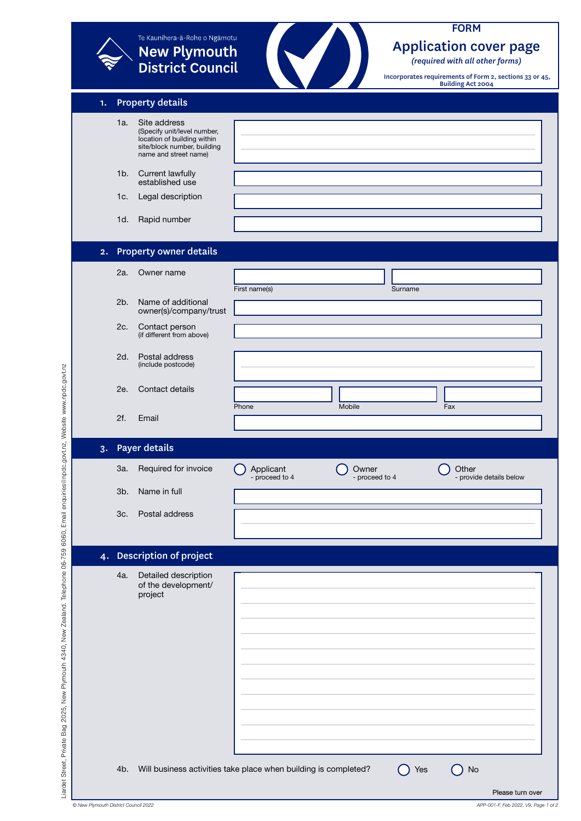|    |     | <b>New Plymouth<br/>District Council</b>                                                                                           |                             |                         |         | (required with all other forms)<br>Incorporates requirements of Form 2, sections 33 or 45,<br><b>Building Act 2004</b> |
|----|-----|------------------------------------------------------------------------------------------------------------------------------------|-----------------------------|-------------------------|---------|------------------------------------------------------------------------------------------------------------------------|
| 1. |     | <b>Property details</b>                                                                                                            |                             |                         |         |                                                                                                                        |
|    | 1a. | Site address<br>(Specify unit/level number,<br>location of building within<br>site/block number, building<br>name and street name) |                             |                         |         |                                                                                                                        |
|    | 1b. | <b>Current lawfully</b><br>established use                                                                                         |                             |                         |         |                                                                                                                        |
|    | 1c. | Legal description                                                                                                                  |                             |                         |         |                                                                                                                        |
|    | 1d. | Rapid number                                                                                                                       |                             |                         |         |                                                                                                                        |
| 2. |     | <b>Property owner details</b>                                                                                                      |                             |                         |         |                                                                                                                        |
|    | 2a. | Owner name                                                                                                                         |                             |                         |         |                                                                                                                        |
|    | 2b. | Name of additional<br>owner(s)/company/trust                                                                                       | First name(s)               |                         | Surname |                                                                                                                        |
|    | 2c. | Contact person<br>(if different from above)                                                                                        |                             |                         |         |                                                                                                                        |
|    | 2d. | Postal address<br>(include postcode)                                                                                               |                             |                         |         |                                                                                                                        |
|    | 2e. | Contact details                                                                                                                    |                             |                         |         |                                                                                                                        |
|    | 2f. | Email                                                                                                                              | Phone                       | Mobile                  |         | Fax                                                                                                                    |
| 3. |     | <b>Payer details</b>                                                                                                               |                             |                         |         |                                                                                                                        |
|    | 3a. | Required for invoice                                                                                                               | Applicant<br>- proceed to 4 | Owner<br>- proceed to 4 |         | Other<br>- provide details below                                                                                       |
|    | 3b. | Name in full                                                                                                                       |                             |                         |         |                                                                                                                        |
|    | 3c. | Postal address                                                                                                                     |                             |                         |         |                                                                                                                        |
|    |     | 4. Description of project                                                                                                          |                             |                         |         |                                                                                                                        |
|    | 4a. | Detailed description                                                                                                               |                             |                         |         |                                                                                                                        |
|    |     | of the development/<br>project                                                                                                     |                             |                         |         |                                                                                                                        |
|    |     |                                                                                                                                    |                             |                         |         |                                                                                                                        |
|    |     |                                                                                                                                    |                             |                         |         |                                                                                                                        |
|    |     |                                                                                                                                    |                             |                         |         |                                                                                                                        |
|    |     |                                                                                                                                    |                             |                         |         |                                                                                                                        |
|    |     |                                                                                                                                    |                             |                         |         |                                                                                                                        |
|    |     |                                                                                                                                    |                             |                         |         |                                                                                                                        |
|    |     |                                                                                                                                    |                             |                         |         |                                                                                                                        |
|    |     |                                                                                                                                    |                             |                         |         |                                                                                                                        |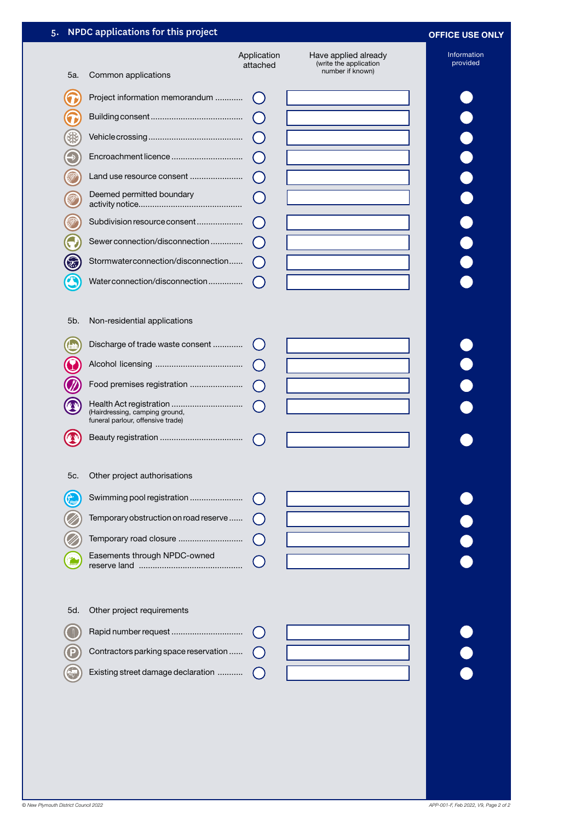# 5. NPDC applications for this project **OFFICE USE ONLY**

# Application Have applied already (write the application attached 5a. Common applications Project information memorandum ............ Œ  $\bigcirc$ Building consent ........................................ T 犯 Vehicle crossing .........................................  $\bigcirc$ Encroachment licence ...............................  $\bigcirc$ Land use resource consent ........................  $\bigcap$ Deemed permitted boundary  $\overline{C}$ activity notice............................................. Subdivision resource consent ....................  $\left( \right)$ Sewer connection/disconnection ..............  $\left( \begin{array}{c} \end{array} \right)$ <u>D</u> Stormwater connection/disconnection ......  $\bigcirc$ Water connection/disconnection ............... 5b. Non-residential applications  $\bigoplus$ Discharge of trade waste consent ............. Alcohol licensing ...................................... Food premises registration ........................ Health Act registration ............................... (Hairdressing, camping ground, funeral parlour, offensive trade) Beauty registration ....................................  $^{\prime\prime}$  N  $\left( \begin{array}{c} \end{array} \right)$ 5c. Other project authorisations C Swimming pool registration ....................... Temporary obstruction on road reserve ...... Temporary road closure ............................ Easements through NPDC-owned reserve land .............................................

number if known)

# **......**

|  |  |  | 5d. Other project requirements |  |
|--|--|--|--------------------------------|--|
|--|--|--|--------------------------------|--|

| $\bigcirc$ |                                                                                              |  |
|------------|----------------------------------------------------------------------------------------------|--|
|            | $\bigcap$ Contractors parking space reservation $\bigcap$                                    |  |
|            | $\left(\begin{matrix} 1 & 1 \\ 0 & 1 \end{matrix}\right)$ Existing street damage declaration |  |

Information provided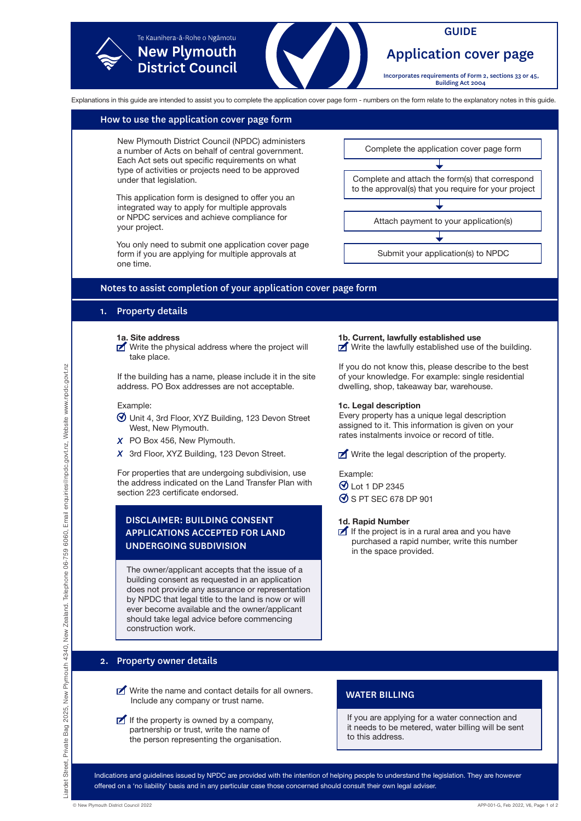

### How to use the application cover page form

New Plymouth District Council (NPDC) administers a number of Acts on behalf of central government. Each Act sets out specific requirements on what type of activities or projects need to be approved under that legislation.

This application form is designed to offer you an integrated way to apply for multiple approvals or NPDC services and achieve compliance for your project.

You only need to submit one application cover page form if you are applying for multiple approvals at one time.

Complete the application cover page form

Complete and attach the form(s) that correspond to the approval(s) that you require for your project

Attach payment to your application(s)

Submit your application(s) to NPDC

### Notes to assist completion of your application cover page form

# 1. Property details

**1a. Site address**

 $\triangleright$  Write the physical address where the project will take place.

If the building has a name, please include it in the site address. PO Box addresses are not acceptable.

### Example:

- Unit 4, 3rd Floor, XYZ Building, 123 Devon Street West, New Plymouth.
- X PO Box 456, New Plymouth.
- X 3rd Floor, XYZ Building, 123 Devon Street.

For properties that are undergoing subdivision, use the address indicated on the Land Transfer Plan with section 223 certificate endorsed.

# DISCLAIMER: BUILDING CONSENT APPLICATIONS ACCEPTED FOR LAND UNDERGOING SUBDIVISION

The owner/applicant accepts that the issue of a building consent as requested in an application does not provide any assurance or representation by NPDC that legal title to the land is now or will ever become available and the owner/applicant should take legal advice before commencing construction work.

# 2. Property owner details

- $\triangleright$  Write the name and contact details for all owners. Include any company or trust name.
- If the property is owned by a company, partnership or trust, write the name of the person representing the organisation.

### **1b. Current, lawfully established use**

 $\blacksquare$  Write the lawfully established use of the building.

If you do not know this, please describe to the best of your knowledge. For example: single residential dwelling, shop, takeaway bar, warehouse.

### **1c. Legal description**

Every property has a unique legal description assigned to it. This information is given on your rates instalments invoice or record of title.

 $\triangleright$  Write the legal description of the property.

Example:

- Lot 1 DP 2345
- $\Theta$  S PT SEC 678 DP 901

### **1d. Rapid Number**

If the project is in a rural area and you have purchased a rapid number, write this number in the space provided.

# WATER BILLING

If you are applying for a water connection and it needs to be metered, water billing will be sent to this address.

Indications and guidelines issued by NPDC are provided with the intention of helping people to understand the legislation. They are however offered on a 'no liability' basis and in any particular case those concerned should consult their own legal adviser.